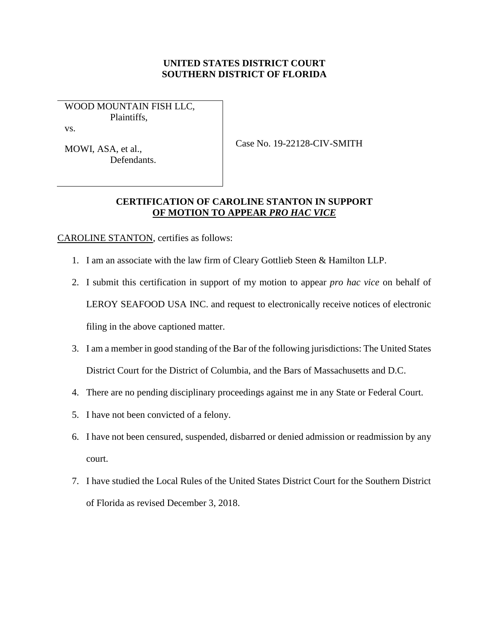## **UNITED STATES DISTRICT COURT SOUTHERN DISTRICT OF FLORIDA**

WOOD MOUNTAIN FISH LLC, Plaintiffs,

vs.

MOWI, ASA, et al., Defendants. Case No. 19-22128-CIV-SMITH

## **CERTIFICATION OF CAROLINE STANTON IN SUPPORT OF MOTION TO APPEAR** *PRO HAC VICE*

CAROLINE STANTON, certifies as follows:

- 1. I am an associate with the law firm of Cleary Gottlieb Steen & Hamilton LLP.
- 2. I submit this certification in support of my motion to appear *pro hac vice* on behalf of LEROY SEAFOOD USA INC. and request to electronically receive notices of electronic filing in the above captioned matter.
- 3. I am a member in good standing of the Bar of the following jurisdictions: The United States District Court for the District of Columbia, and the Bars of Massachusetts and D.C.
- 4. There are no pending disciplinary proceedings against me in any State or Federal Court.
- 5. I have not been convicted of a felony.
- 6. I have not been censured, suspended, disbarred or denied admission or readmission by any court.
- 7. I have studied the Local Rules of the United States District Court for the Southern District of Florida as revised December 3, 2018.